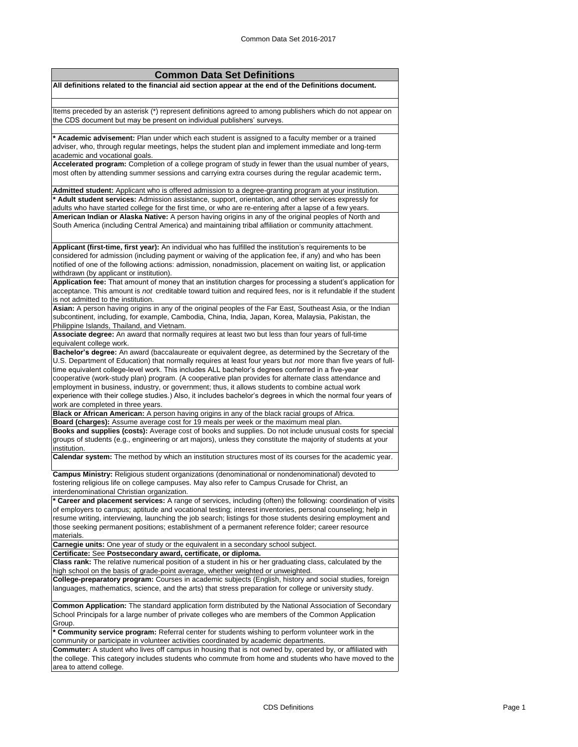| <b>Common Data Set Definitions</b>                                                                                                                                                      |
|-----------------------------------------------------------------------------------------------------------------------------------------------------------------------------------------|
| All definitions related to the financial aid section appear at the end of the Definitions document.                                                                                     |
|                                                                                                                                                                                         |
|                                                                                                                                                                                         |
| Items preceded by an asterisk (*) represent definitions agreed to among publishers which do not appear on                                                                               |
| the CDS document but may be present on individual publishers' surveys.                                                                                                                  |
|                                                                                                                                                                                         |
| * Academic advisement: Plan under which each student is assigned to a faculty member or a trained                                                                                       |
| adviser, who, through regular meetings, helps the student plan and implement immediate and long-term                                                                                    |
| academic and vocational goals.                                                                                                                                                          |
| Accelerated program: Completion of a college program of study in fewer than the usual number of years,                                                                                  |
| most often by attending summer sessions and carrying extra courses during the regular academic term.                                                                                    |
|                                                                                                                                                                                         |
| Admitted student: Applicant who is offered admission to a degree-granting program at your institution.                                                                                  |
| * Adult student services: Admission assistance, support, orientation, and other services expressly for                                                                                  |
| adults who have started college for the first time, or who are re-entering after a lapse of a few years.                                                                                |
| American Indian or Alaska Native: A person having origins in any of the original peoples of North and                                                                                   |
| South America (including Central America) and maintaining tribal affiliation or community attachment.                                                                                   |
|                                                                                                                                                                                         |
| Applicant (first-time, first year): An individual who has fulfilled the institution's requirements to be                                                                                |
| considered for admission (including payment or waiving of the application fee, if any) and who has been                                                                                 |
| notified of one of the following actions: admission, nonadmission, placement on waiting list, or application                                                                            |
| withdrawn (by applicant or institution).                                                                                                                                                |
| Application fee: That amount of money that an institution charges for processing a student's application for                                                                            |
| acceptance. This amount is not creditable toward tuition and required fees, nor is it refundable if the student                                                                         |
| is not admitted to the institution.                                                                                                                                                     |
| Asian: A person having origins in any of the original peoples of the Far East, Southeast Asia, or the Indian                                                                            |
| subcontinent, including, for example, Cambodia, China, India, Japan, Korea, Malaysia, Pakistan, the                                                                                     |
| Philippine Islands, Thailand, and Vietnam.                                                                                                                                              |
| Associate degree: An award that normally requires at least two but less than four years of full-time                                                                                    |
| equivalent college work.                                                                                                                                                                |
| Bachelor's degree: An award (baccalaureate or equivalent degree, as determined by the Secretary of the                                                                                  |
| U.S. Department of Education) that normally requires at least four years but not more than five years of full-                                                                          |
| time equivalent college-level work. This includes ALL bachelor's degrees conferred in a five-year                                                                                       |
| cooperative (work-study plan) program. (A cooperative plan provides for alternate class attendance and                                                                                  |
| employment in business, industry, or government; thus, it allows students to combine actual work                                                                                        |
| experience with their college studies.) Also, it includes bachelor's degrees in which the normal four years of                                                                          |
| work are completed in three years.                                                                                                                                                      |
| Black or African American: A person having origins in any of the black racial groups of Africa.<br>Board (charges): Assume average cost for 19 meals per week or the maximum meal plan. |
| Books and supplies (costs): Average cost of books and supplies. Do not include unusual costs for special                                                                                |
| groups of students (e.g., engineering or art majors), unless they constitute the majority of students at your                                                                           |
| institution.                                                                                                                                                                            |
| Calendar system: The method by which an institution structures most of its courses for the academic year.                                                                               |
|                                                                                                                                                                                         |
| Campus Ministry: Religious student organizations (denominational or nondenominational) devoted to                                                                                       |
| fostering religious life on college campuses. May also refer to Campus Crusade for Christ, an                                                                                           |
| interdenominational Christian organization.                                                                                                                                             |
| * Career and placement services: A range of services, including (often) the following: coordination of visits                                                                           |
| of employers to campus; aptitude and vocational testing; interest inventories, personal counseling; help in                                                                             |
| resume writing, interviewing, launching the job search; listings for those students desiring employment and                                                                             |
| those seeking permanent positions; establishment of a permanent reference folder; career resource                                                                                       |
| materials.                                                                                                                                                                              |
| <b>Carnegie units:</b> One year of study or the equivalent in a secondary school subject.                                                                                               |
| Certificate: See Postsecondary award, certificate, or diploma.                                                                                                                          |
| Class rank: The relative numerical position of a student in his or her graduating class, calculated by the                                                                              |
| high school on the basis of grade-point average, whether weighted or unweighted.                                                                                                        |
| <b>College-preparatory program:</b> Courses in academic subjects (English, history and social studies, foreign                                                                          |
| languages, mathematics, science, and the arts) that stress preparation for college or university study.                                                                                 |
|                                                                                                                                                                                         |
| Common Application: The standard application form distributed by the National Association of Secondary                                                                                  |
| School Principals for a large number of private colleges who are members of the Common Application                                                                                      |
| Group.<br>* Community service program: Referral center for students wishing to perform volunteer work in the                                                                            |
| community or participate in volunteer activities coordinated by academic departments.                                                                                                   |
| <b>Commuter:</b> A student who lives off campus in housing that is not owned by, operated by, or affiliated with                                                                        |
| the college. This category includes students who commute from home and students who have moved to the                                                                                   |
| area to attend college.                                                                                                                                                                 |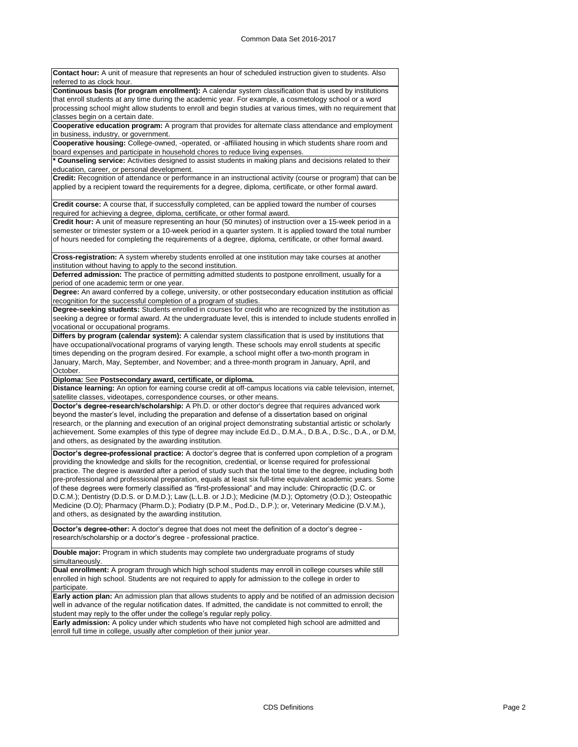**Contact hour:** A unit of measure that represents an hour of scheduled instruction given to students. Also referred to as clock hour. **Continuous basis (for program enrollment):** A calendar system classification that is used by institutions that enroll students at any time during the academic year. For example, a cosmetology school or a word processing school might allow students to enroll and begin studies at various times, with no requirement that classes begin on a certain date. **Cooperative education program:** A program that provides for alternate class attendance and employment

in business, industry, or government. **Cooperative housing:** College-owned, -operated, or -affiliated housing in which students share room and board expenses and participate in household chores to reduce living expenses.

**\* Counseling service:** Activities designed to assist students in making plans and decisions related to their education, career, or personal development.

**Credit:** Recognition of attendance or performance in an instructional activity (course or program) that can be applied by a recipient toward the requirements for a degree, diploma, certificate, or other formal award.

**Credit course:** A course that, if successfully completed, can be applied toward the number of courses required for achieving a degree, diploma, certificate, or other formal award.

**Credit hour:** A unit of measure representing an hour (50 minutes) of instruction over a 15-week period in a semester or trimester system or a 10-week period in a quarter system. It is applied toward the total number of hours needed for completing the requirements of a degree, diploma, certificate, or other formal award.

**Cross-registration:** A system whereby students enrolled at one institution may take courses at another institution without having to apply to the second institution.

**Deferred admission:** The practice of permitting admitted students to postpone enrollment, usually for a period of one academic term or one year.

**Degree:** An award conferred by a college, university, or other postsecondary education institution as official recognition for the successful completion of a program of studies.

**Degree-seeking students:** Students enrolled in courses for credit who are recognized by the institution as seeking a degree or formal award. At the undergraduate level, this is intended to include students enrolled in vocational or occupational programs.

**Differs by program (calendar system):** A calendar system classification that is used by institutions that have occupational/vocational programs of varying length. These schools may enroll students at specific times depending on the program desired. For example, a school might offer a two-month program in January, March, May, September, and November; and a three-month program in January, April, and October.

**Diploma:** See **Postsecondary award, certificate, or diploma.**

**Distance learning:** An option for earning course credit at off-campus locations via cable television, internet, satellite classes, videotapes, correspondence courses, or other means.

**Doctor's degree-research/scholarship:** A Ph.D. or other doctor's degree that requires advanced work beyond the master's level, including the preparation and defense of a dissertation based on original research, or the planning and execution of an original project demonstrating substantial artistic or scholarly achievement. Some examples of this type of degree may include Ed.D., D.M.A., D.B.A., D.Sc., D.A., or D.M, and others, as designated by the awarding institution.

**Doctor's degree-professional practice:** A doctor's degree that is conferred upon completion of a program providing the knowledge and skills for the recognition, credential, or license required for professional practice. The degree is awarded after a period of study such that the total time to the degree, including both pre-professional and professional preparation, equals at least six full-time equivalent academic years. Some of these degrees were formerly classified as "first-professional" and may include: Chiropractic (D.C. or D.C.M.); Dentistry (D.D.S. or D.M.D.); Law (L.L.B. or J.D.); Medicine (M.D.); Optometry (O.D.); Osteopathic Medicine (D.O); Pharmacy (Pharm.D.); Podiatry (D.P.M., Pod.D., D.P.); or, Veterinary Medicine (D.V.M.), and others, as designated by the awarding institution.

**Doctor's degree-other:** A doctor's degree that does not meet the definition of a doctor's degree research/scholarship or a doctor's degree - professional practice.

**Double major:** Program in which students may complete two undergraduate programs of study simultaneously.

**Dual enrollment:** A program through which high school students may enroll in college courses while still enrolled in high school. Students are not required to apply for admission to the college in order to participate.

**Early action plan:** An admission plan that allows students to apply and be notified of an admission decision well in advance of the regular notification dates. If admitted, the candidate is not committed to enroll; the student may reply to the offer under the college's regular reply policy.

**Early admission:** A policy under which students who have not completed high school are admitted and enroll full time in college, usually after completion of their junior year.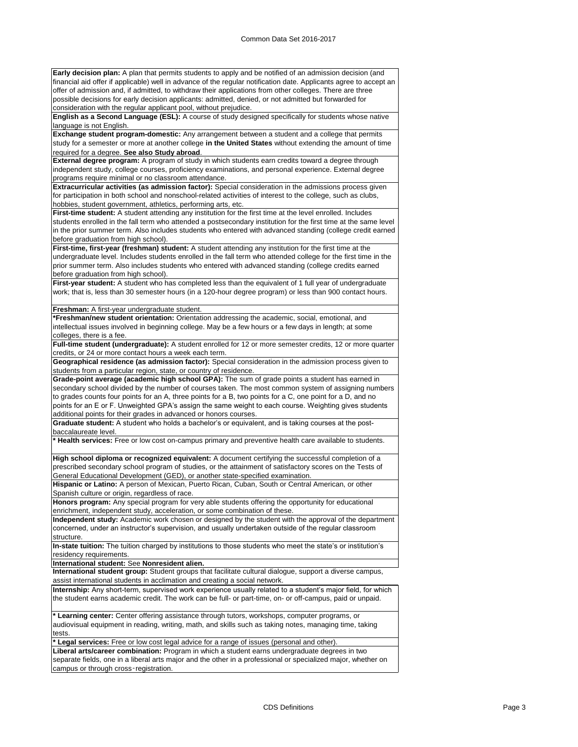**Early decision plan:** A plan that permits students to apply and be notified of an admission decision (and financial aid offer if applicable) well in advance of the regular notification date. Applicants agree to accept an offer of admission and, if admitted, to withdraw their applications from other colleges. There are three possible decisions for early decision applicants: admitted, denied, or not admitted but forwarded for consideration with the regular applicant pool, without prejudice.

**English as a Second Language (ESL):** A course of study designed specifically for students whose native language is not English.

**Exchange student program-domestic:** Any arrangement between a student and a college that permits study for a semester or more at another college **in the United States** without extending the amount of time required for a degree. **See also Study abroad**.

**External degree program:** A program of study in which students earn credits toward a degree through independent study, college courses, proficiency examinations, and personal experience. External degree programs require minimal or no classroom attendance.

**Extracurricular activities (as admission factor):** Special consideration in the admissions process given for participation in both school and nonschool-related activities of interest to the college, such as clubs, hobbies, student government, athletics, performing arts, etc.

First-time student: A student attending any institution for the first time at the level enrolled. Includes students enrolled in the fall term who attended a postsecondary institution for the first time at the same level in the prior summer term. Also includes students who entered with advanced standing (college credit earned before graduation from high school).

**First-time, first-year (freshman) student:** A student attending any institution for the first time at the undergraduate level. Includes students enrolled in the fall term who attended college for the first time in the prior summer term. Also includes students who entered with advanced standing (college credits earned before graduation from high school).

**First-year student:** A student who has completed less than the equivalent of 1 full year of undergraduate work; that is, less than 30 semester hours (in a 120-hour degree program) or less than 900 contact hours.

**Freshman:** A first-year undergraduate student.

**\*Freshman/new student orientation:** Orientation addressing the academic, social, emotional, and intellectual issues involved in beginning college. May be a few hours or a few days in length; at some colleges, there is a fee.

**Full-time student (undergraduate):** A student enrolled for 12 or more semester credits, 12 or more quarter credits, or 24 or more contact hours a week each term.

**Geographical residence (as admission factor):** Special consideration in the admission process given to students from a particular region, state, or country of residence.

**Grade-point average (academic high school GPA):** The sum of grade points a student has earned in secondary school divided by the number of courses taken. The most common system of assigning numbers to grades counts four points for an A, three points for a B, two points for a C, one point for a D, and no points for an E or F. Unweighted GPA's assign the same weight to each course. Weighting gives students additional points for their grades in advanced or honors courses.

**Graduate student:** A student who holds a bachelor's or equivalent, and is taking courses at the postbaccalaureate level.

**\* Health services:** Free or low cost on-campus primary and preventive health care available to students.

**High school diploma or recognized equivalent:** A document certifying the successful completion of a prescribed secondary school program of studies, or the attainment of satisfactory scores on the Tests of General Educational Development (GED), or another state-specified examination.

**Hispanic or Latino:** A person of Mexican, Puerto Rican, Cuban, South or Central American, or other Spanish culture or origin, regardless of race.

**Honors program:** Any special program for very able students offering the opportunity for educational enrichment, independent study, acceleration, or some combination of these.

**Independent study:** Academic work chosen or designed by the student with the approval of the department concerned, under an instructor's supervision, and usually undertaken outside of the regular classroom structure.

**In-state tuition:** The tuition charged by institutions to those students who meet the state's or institution's residency requirements.

**International student:** See **Nonresident alien.**

**International student group:** Student groups that facilitate cultural dialogue, support a diverse campus, assist international students in acclimation and creating a social network.

**Internship:** Any short-term, supervised work experience usually related to a student's major field, for which the student earns academic credit. The work can be full- or part-time, on- or off-campus, paid or unpaid.

**\* Learning center:** Center offering assistance through tutors, workshops, computer programs, or audiovisual equipment in reading, writing, math, and skills such as taking notes, managing time, taking tests.

**\* Legal services:** Free or low cost legal advice for a range of issues (personal and other).

**Liberal arts/career combination:** Program in which a student earns undergraduate degrees in two separate fields, one in a liberal arts major and the other in a professional or specialized major, whether on campus or through cross‑registration.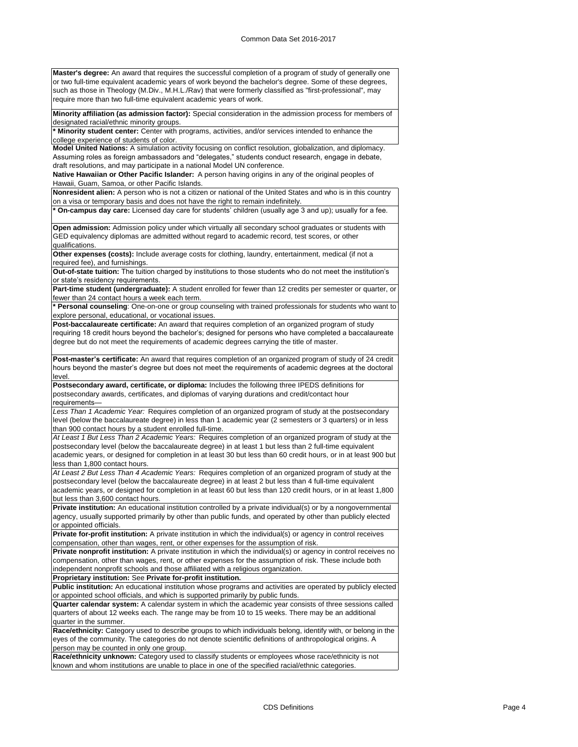**Master's degree:** An award that requires the successful completion of a program of study of generally one or two full-time equivalent academic years of work beyond the bachelor's degree. Some of these degrees, such as those in Theology (M.Div., M.H.L./Rav) that were formerly classified as "first-professional", may require more than two full-time equivalent academic years of work.

**Minority affiliation (as admission factor):** Special consideration in the admission process for members of designated racial/ethnic minority groups.

**\* Minority student center:** Center with programs, activities, and/or services intended to enhance the college experience of students of color.

**Model United Nations:** A simulation activity focusing on conflict resolution, globalization, and diplomacy. Assuming roles as foreign ambassadors and "delegates," students conduct research, engage in debate, draft resolutions, and may participate in a national Model UN conference.

**Native Hawaiian or Other Pacific Islander:** A person having origins in any of the original peoples of Hawaii, Guam, Samoa, or other Pacific Islands.

**Nonresident alien:** A person who is not a citizen or national of the United States and who is in this country on a visa or temporary basis and does not have the right to remain indefinitely.

**\* On-campus day care:** Licensed day care for students' children (usually age 3 and up); usually for a fee.

**Open admission:** Admission policy under which virtually all secondary school graduates or students with GED equivalency diplomas are admitted without regard to academic record, test scores, or other qualifications.

**Other expenses (costs):** Include average costs for clothing, laundry, entertainment, medical (if not a required fee), and furnishings.

**Out-of-state tuition:** The tuition charged by institutions to those students who do not meet the institution's or state's residency requirements.

Part-time student (undergraduate): A student enrolled for fewer than 12 credits per semester or quarter, or fewer than 24 contact hours a week each term.

**\* Personal counseling**: One-on-one or group counseling with trained professionals for students who want to explore personal, educational, or vocational issues.

**Post-baccalaureate certificate:** An award that requires completion of an organized program of study requiring 18 credit hours beyond the bachelor's; designed for persons who have completed a baccalaureate degree but do not meet the requirements of academic degrees carrying the title of master.

**Post-master's certificate:** An award that requires completion of an organized program of study of 24 credit hours beyond the master's degree but does not meet the requirements of academic degrees at the doctoral level.

**Postsecondary award, certificate, or diploma:** Includes the following three IPEDS definitions for postsecondary awards, certificates, and diplomas of varying durations and credit/contact hour requirements—

*Less Than 1 Academic Year:* Requires completion of an organized program of study at the postsecondary level (below the baccalaureate degree) in less than 1 academic year (2 semesters or 3 quarters) or in less than 900 contact hours by a student enrolled full-time.

*At Least 1 But Less Than 2 Academic Years:* Requires completion of an organized program of study at the postsecondary level (below the baccalaureate degree) in at least 1 but less than 2 full-time equivalent academic years, or designed for completion in at least 30 but less than 60 credit hours, or in at least 900 but less than 1,800 contact hours.

*At Least 2 But Less Than 4 Academic Years:* Requires completion of an organized program of study at the postsecondary level (below the baccalaureate degree) in at least 2 but less than 4 full-time equivalent academic years, or designed for completion in at least 60 but less than 120 credit hours, or in at least 1,800 but less than 3,600 contact hours.

**Private institution:** An educational institution controlled by a private individual(s) or by a nongovernmental agency, usually supported primarily by other than public funds, and operated by other than publicly elected or appointed officials.

**Private for-profit institution:** A private institution in which the individual(s) or agency in control receives compensation, other than wages, rent, or other expenses for the assumption of risk.

**Private nonprofit institution:** A private institution in which the individual(s) or agency in control receives no compensation, other than wages, rent, or other expenses for the assumption of risk. These include both independent nonprofit schools and those affiliated with a religious organization.

**Proprietary institution:** See **Private for-profit institution.**

**Public institution:** An educational institution whose programs and activities are operated by publicly elected or appointed school officials, and which is supported primarily by public funds.

**Quarter calendar system:** A calendar system in which the academic year consists of three sessions called quarters of about 12 weeks each. The range may be from 10 to 15 weeks. There may be an additional quarter in the summer.

**Race/ethnicity:** Category used to describe groups to which individuals belong, identify with, or belong in the eyes of the community. The categories do not denote scientific definitions of anthropological origins. A person may be counted in only one group.

**Race/ethnicity unknown:** Category used to classify students or employees whose race/ethnicity is not known and whom institutions are unable to place in one of the specified racial/ethnic categories.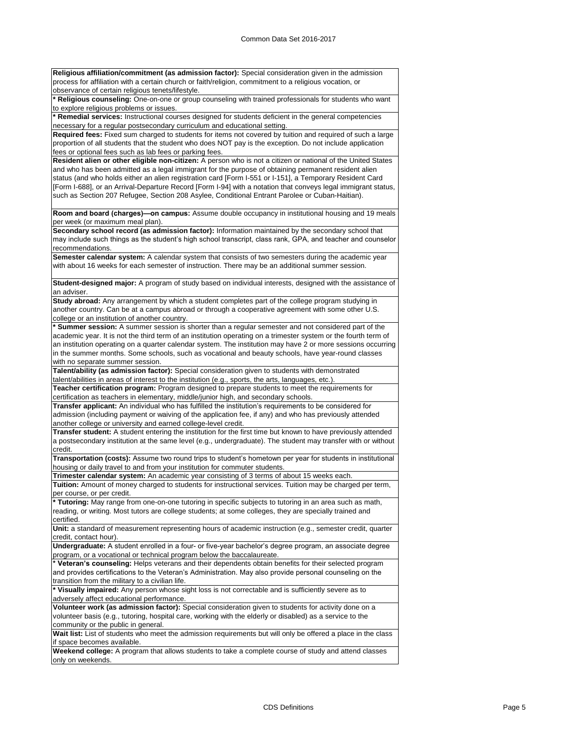**Religious affiliation/commitment (as admission factor):** Special consideration given in the admission process for affiliation with a certain church or faith/religion, commitment to a religious vocation, or .<br>observance of certain religious tenets/lifestyle.

**\* Religious counseling:** One-on-one or group counseling with trained professionals for students who want to explore religious problems or issues.

**\* Remedial services:** Instructional courses designed for students deficient in the general competencies necessary for a regular postsecondary curriculum and educational setting.

**Required fees:** Fixed sum charged to students for items not covered by tuition and required of such a large proportion of all students that the student who does NOT pay is the exception. Do not include application fees or optional fees such as lab fees or parking fees.

**Resident alien or other eligible non-citizen:** A person who is not a citizen or national of the United States and who has been admitted as a legal immigrant for the purpose of obtaining permanent resident alien status (and who holds either an alien registration card [Form I-551 or I-151], a Temporary Resident Card [Form I-688], or an Arrival-Departure Record [Form I-94] with a notation that conveys legal immigrant status, such as Section 207 Refugee, Section 208 Asylee, Conditional Entrant Parolee or Cuban-Haitian).

**Room and board (charges)—on campus:** Assume double occupancy in institutional housing and 19 meals per week (or maximum meal plan).

**Secondary school record (as admission factor):** Information maintained by the secondary school that may include such things as the student's high school transcript, class rank, GPA, and teacher and counselor recommendations.

**Semester calendar system:** A calendar system that consists of two semesters during the academic year with about 16 weeks for each semester of instruction. There may be an additional summer session.

**Student-designed major:** A program of study based on individual interests, designed with the assistance of an adviser.

**Study abroad:** Any arrangement by which a student completes part of the college program studying in another country. Can be at a campus abroad or through a cooperative agreement with some other U.S. college or an institution of another country.

**\* Summer session:** A summer session is shorter than a regular semester and not considered part of the academic year. It is not the third term of an institution operating on a trimester system or the fourth term of an institution operating on a quarter calendar system. The institution may have 2 or more sessions occurring in the summer months. Some schools, such as vocational and beauty schools, have year-round classes with no separate summer session.

**Talent/ability (as admission factor):** Special consideration given to students with demonstrated talent/abilities in areas of interest to the institution (e.g., sports, the arts, languages, etc.).

**Teacher certification program:** Program designed to prepare students to meet the requirements for certification as teachers in elementary, middle/junior high, and secondary schools.

**Transfer applicant:** An individual who has fulfilled the institution's requirements to be considered for admission (including payment or waiving of the application fee, if any) and who has previously attended another college or university and earned college-level credit.

**Transfer student:** A student entering the institution for the first time but known to have previously attended a postsecondary institution at the same level (e.g., undergraduate). The student may transfer with or without credit.

**Transportation (costs):** Assume two round trips to student's hometown per year for students in institutional housing or daily travel to and from your institution for commuter students.

**Trimester calendar system:** An academic year consisting of 3 terms of about 15 weeks each.

**Tuition:** Amount of money charged to students for instructional services. Tuition may be charged per term, per course, or per credit.

**\* Tutoring:** May range from one-on-one tutoring in specific subjects to tutoring in an area such as math, reading, or writing. Most tutors are college students; at some colleges, they are specially trained and certified.

**Unit:** a standard of measurement representing hours of academic instruction (e.g., semester credit, quarter credit, contact hour).

**Undergraduate:** A student enrolled in a four- or five-year bachelor's degree program, an associate degree program, or a vocational or technical program below the baccalaureate.

**\* Veteran's counseling:** Helps veterans and their dependents obtain benefits for their selected program and provides certifications to the Veteran's Administration. May also provide personal counseling on the transition from the military to a civilian life.

**\* Visually impaired:** Any person whose sight loss is not correctable and is sufficiently severe as to adversely affect educational performance.

**Volunteer work (as admission factor):** Special consideration given to students for activity done on a volunteer basis (e.g., tutoring, hospital care, working with the elderly or disabled) as a service to the community or the public in general.

Wait list: List of students who meet the admission requirements but will only be offered a place in the class if space becomes available.

**Weekend college:** A program that allows students to take a complete course of study and attend classes only on weekends.